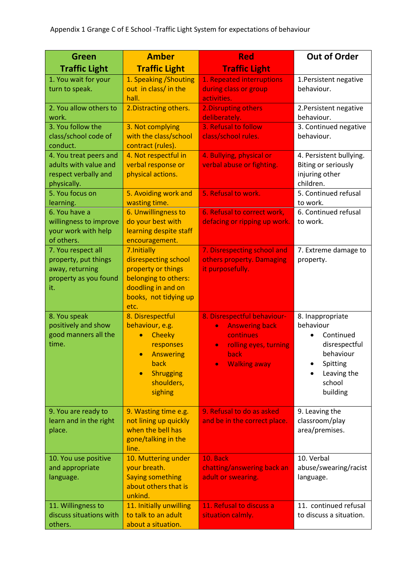| Green                                                                                         | <b>Amber</b>                                                                                                                                     | <b>Red</b>                                                                                                                                                       | <b>Out of Order</b>                                                                                                       |
|-----------------------------------------------------------------------------------------------|--------------------------------------------------------------------------------------------------------------------------------------------------|------------------------------------------------------------------------------------------------------------------------------------------------------------------|---------------------------------------------------------------------------------------------------------------------------|
| <b>Traffic Light</b>                                                                          | <b>Traffic Light</b>                                                                                                                             | <b>Traffic Light</b>                                                                                                                                             |                                                                                                                           |
| 1. You wait for your<br>turn to speak.                                                        | 1. Speaking / Shouting<br>out in class/ in the<br>hall.                                                                                          | 1. Repeated interruptions<br>during class or group<br>activities.                                                                                                | 1. Persistent negative<br>behaviour.                                                                                      |
| 2. You allow others to<br>work.                                                               | 2. Distracting others.                                                                                                                           | 2. Disrupting others<br>deliberately.                                                                                                                            | 2. Persistent negative<br>behaviour.                                                                                      |
| 3. You follow the<br>class/school code of<br>conduct.                                         | 3. Not complying<br>with the class/school<br>contract (rules).                                                                                   | 3. Refusal to follow<br>class/school rules.                                                                                                                      | 3. Continued negative<br>behaviour.                                                                                       |
| 4. You treat peers and<br>adults with value and<br>respect verbally and<br>physically.        | 4. Not respectful in<br>verbal response or<br>physical actions.                                                                                  | 4. Bullying, physical or<br>verbal abuse or fighting.                                                                                                            | 4. Persistent bullying.<br>Biting or seriously<br>injuring other<br>children.                                             |
| 5. You focus on<br>learning.                                                                  | 5. Avoiding work and<br>wasting time.                                                                                                            | 5. Refusal to work.                                                                                                                                              | 5. Continued refusal<br>to work.                                                                                          |
| 6. You have a<br>willingness to improve<br>your work with help<br>of others.                  | 6. Unwillingness to<br>do your best with<br>learning despite staff<br>encouragement.                                                             | 6. Refusal to correct work,<br>defacing or ripping up work.                                                                                                      | 6. Continued refusal<br>to work.                                                                                          |
| 7. You respect all<br>property, put things<br>away, returning<br>property as you found<br>it. | 7. Initially<br>disrespecting school<br>property or things<br>belonging to others:<br>doodling in and on<br>books, not tidying up<br>etc.        | 7. Disrespecting school and<br>others property. Damaging<br>it purposefully.                                                                                     | 7. Extreme damage to<br>property.                                                                                         |
| 8. You speak<br>positively and show<br>good manners all the<br>time.                          | 8. Disrespectful<br>behaviour, e.g.<br>Cheeky<br>responses<br><b>Answering</b><br>$\bullet$<br>back<br><b>Shrugging</b><br>shoulders,<br>sighing | 8. Disrespectful behaviour-<br><b>Answering back</b><br>$\bullet$<br>continues<br>rolling eyes, turning<br>$\bullet$<br>back<br><b>Walking away</b><br>$\bullet$ | 8. Inappropriate<br>behaviour<br>Continued<br>disrespectful<br>behaviour<br>Spitting<br>Leaving the<br>school<br>building |
| 9. You are ready to<br>learn and in the right<br>place.                                       | 9. Wasting time e.g.<br>not lining up quickly<br>when the bell has<br>gone/talking in the<br>line.                                               | 9. Refusal to do as asked<br>and be in the correct place.                                                                                                        | 9. Leaving the<br>classroom/play<br>area/premises.                                                                        |
| 10. You use positive<br>and appropriate<br>language.                                          | 10. Muttering under<br>your breath.<br><b>Saying something</b><br>about others that is<br>unkind.                                                | 10. Back<br>chatting/answering back an<br>adult or swearing.                                                                                                     | 10. Verbal<br>abuse/swearing/racist<br>language.                                                                          |
| 11. Willingness to<br>discuss situations with<br>others.                                      | 11. Initially unwilling<br>to talk to an adult<br>about a situation.                                                                             | 11. Refusal to discuss a<br>situation calmly.                                                                                                                    | 11. continued refusal<br>to discuss a situation.                                                                          |